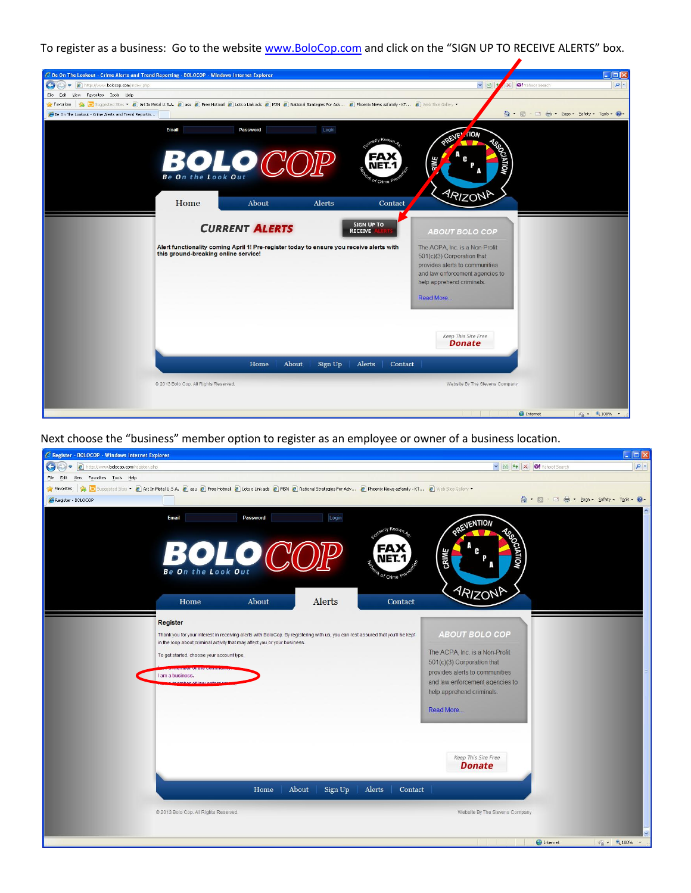To register as a business: Go to the websit[e www.BoloCop.com](http://www.bolocop.com/) and click on the "SIGN UP TO RECEIVE ALERTS" box.



Next choose the "business" member option to register as an employee or owner of a business location.

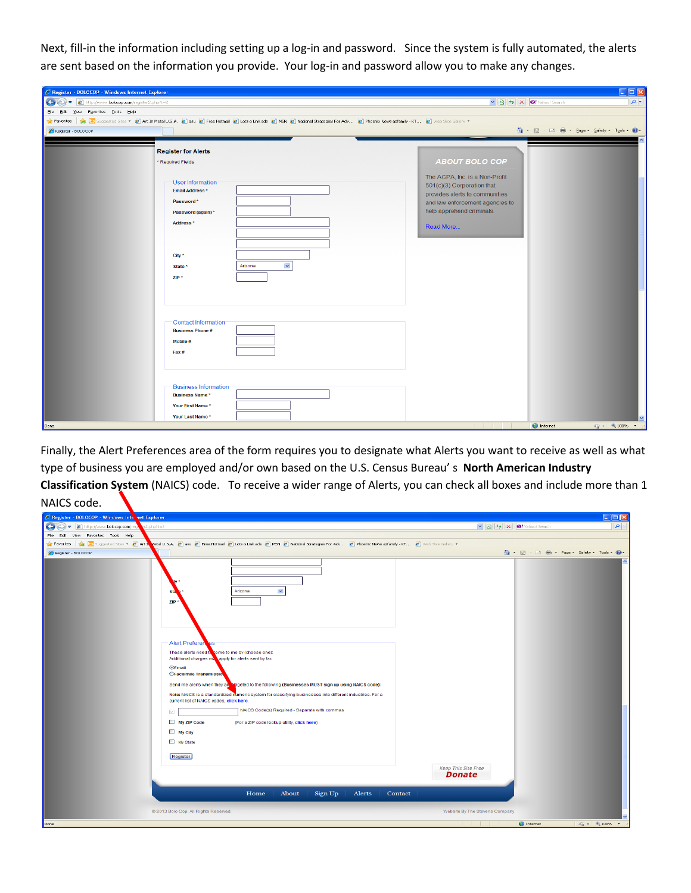Next, fill-in the information including setting up a log-in and password. Since the system is fully automated, the alerts are sent based on the information you provide. Your log-in and password allow you to make any changes.

| C Register - BOLOCOP - Windows Internet Explorer                                                                                                                                                     |                                                                                                                                   | $\square$ $\square$                         |
|------------------------------------------------------------------------------------------------------------------------------------------------------------------------------------------------------|-----------------------------------------------------------------------------------------------------------------------------------|---------------------------------------------|
|                                                                                                                                                                                                      | $\triangleright$ $\bigcirc$ $\bigcirc$ $\bigcirc$ $\bigcirc$ $\bigcirc$ $\bigcirc$ $\bigcirc$ $\bigcirc$ $\bigcirc$ Yahoo! Search | $  \bullet  $                               |
| File Edit View Favorites Tools Help                                                                                                                                                                  |                                                                                                                                   |                                             |
| Favorites safamily - KT 2 Web Sluggested Sites + 2 Art In Metal U.S.A. 2 asu 2 Free Hotmail 2 Lots o Link ads 2 MSN 2 National Strategies For Adv 2 Phoenix News azfamily - KT 2 Web Slice Gallery + |                                                                                                                                   |                                             |
| Register - BOLOCOP                                                                                                                                                                                   | <sup>合</sup> 同 □ 曲 · Page · Safety · Tools · ◎                                                                                    |                                             |
|                                                                                                                                                                                                      |                                                                                                                                   |                                             |
| <b>Register for Alerts</b>                                                                                                                                                                           |                                                                                                                                   |                                             |
| * Required Fields                                                                                                                                                                                    | <b>ABOUT BOLO COP</b>                                                                                                             |                                             |
|                                                                                                                                                                                                      |                                                                                                                                   |                                             |
| User Information                                                                                                                                                                                     | The ACPA, Inc. is a Non-Profit                                                                                                    |                                             |
| <b>Email Address *</b>                                                                                                                                                                               | 501(c)(3) Corporation that                                                                                                        |                                             |
| Password*                                                                                                                                                                                            | provides alerts to communities<br>and law enforcement agencies to                                                                 |                                             |
| Password (again) *                                                                                                                                                                                   | help apprehend criminals.                                                                                                         |                                             |
|                                                                                                                                                                                                      |                                                                                                                                   |                                             |
| Address*                                                                                                                                                                                             | Read More                                                                                                                         |                                             |
|                                                                                                                                                                                                      |                                                                                                                                   |                                             |
|                                                                                                                                                                                                      |                                                                                                                                   |                                             |
| City *                                                                                                                                                                                               |                                                                                                                                   |                                             |
| $\checkmark$<br>Arizona<br>State *                                                                                                                                                                   |                                                                                                                                   |                                             |
| $ZIP*$                                                                                                                                                                                               |                                                                                                                                   |                                             |
|                                                                                                                                                                                                      |                                                                                                                                   |                                             |
|                                                                                                                                                                                                      |                                                                                                                                   |                                             |
|                                                                                                                                                                                                      |                                                                                                                                   |                                             |
|                                                                                                                                                                                                      |                                                                                                                                   |                                             |
| Contact Information                                                                                                                                                                                  |                                                                                                                                   |                                             |
| <b>Business Phone#</b>                                                                                                                                                                               |                                                                                                                                   |                                             |
| Mobile #                                                                                                                                                                                             |                                                                                                                                   |                                             |
| Fax #                                                                                                                                                                                                |                                                                                                                                   |                                             |
|                                                                                                                                                                                                      |                                                                                                                                   |                                             |
|                                                                                                                                                                                                      |                                                                                                                                   |                                             |
|                                                                                                                                                                                                      |                                                                                                                                   |                                             |
| <b>Business Information</b>                                                                                                                                                                          |                                                                                                                                   |                                             |
| <b>Business Name*</b>                                                                                                                                                                                |                                                                                                                                   |                                             |
| Your First Name *                                                                                                                                                                                    |                                                                                                                                   |                                             |
| Your Last Name*                                                                                                                                                                                      |                                                                                                                                   |                                             |
| Done                                                                                                                                                                                                 | <b>O</b> Internet<br><u> - Jean-Jean-Jean-Jea</u>                                                                                 | $\frac{1}{\sqrt{2}}$ = $\frac{1}{2}$ 100% = |

Finally, the Alert Preferences area of the form requires you to designate what Alerts you want to receive as well as what type of business you are employed and/or own based on the U.S. Census Bureau' s **North American Industry Classification System** (NAICS) code. To receive a wider range of Alerts, you can check all boxes and include more than 1 NAICS code.

| C Register - BOLOCOP - Windows Internet Explorer                                                                                                                                                                                                                                                                                                                                                                                               | $\Box$ o $\boxtimes$                                                                         |
|------------------------------------------------------------------------------------------------------------------------------------------------------------------------------------------------------------------------------------------------------------------------------------------------------------------------------------------------------------------------------------------------------------------------------------------------|----------------------------------------------------------------------------------------------|
| $\bullet$<br>http://www.bolocop.com/re<br>2.php?t=2<br>٠                                                                                                                                                                                                                                                                                                                                                                                       | $  \mathbf{Q}  $<br>$\vee$ $\bigotimes$ $\bigotimes$ $\bigotimes$ $\bigotimes$ Yahoo! Search |
| File<br>Edit View Favorites Tools Help                                                                                                                                                                                                                                                                                                                                                                                                         |                                                                                              |
| ☆ Favorites   ☆ D Suggested Sites ● 2 Art In Netal U.S.A. 2 asu 2 Free Hotmail 2 Lots o Link ads 2 MSN 2 National Strategies For Adv 2 Phoenix News azfamily - KT 2 Web Sitce Gallery =                                                                                                                                                                                                                                                        |                                                                                              |
| Register - BOLOCOP                                                                                                                                                                                                                                                                                                                                                                                                                             | ☆ 同 □ ● · Page · Safety · Tools · ② ·                                                        |
| $\checkmark$<br>Arizona<br>Sta<br>ZIP                                                                                                                                                                                                                                                                                                                                                                                                          |                                                                                              |
| Alert Preferen<br>es<br>These alerts need to come to me by (choose one):<br>Additional charges manapply for alerts sent by fax<br><b>OEmail</b><br><b>Ofacsimile Transmission</b><br>Send me alerts when they are Treeted to the following (Businesses MUST sign up using NAICS code):<br>Note: NAICS is a standardized numeric system for classifying businesses into different industries. For a<br>current list of NAICS codes, click here. |                                                                                              |
| NAICS Code(s) Required - Separate with commas<br>$\checkmark$<br>My ZIP Code<br>(For a ZIP code lookup utility, click here)<br>My City<br>My State<br>Register                                                                                                                                                                                                                                                                                 |                                                                                              |
| Home<br>About<br>Sign Up<br>Alerts<br>Contact<br>@ 2013 Bolo Cop. All Rights Reserved.                                                                                                                                                                                                                                                                                                                                                         | Keep This Site Free<br><b>Donate</b><br>Website By The Stevens Company                       |
| Done                                                                                                                                                                                                                                                                                                                                                                                                                                           | <u> La Carlo de Carlo de la Ca</u><br><b>O</b> Internet<br>$\frac{1}{2}$ - 2,100% -          |